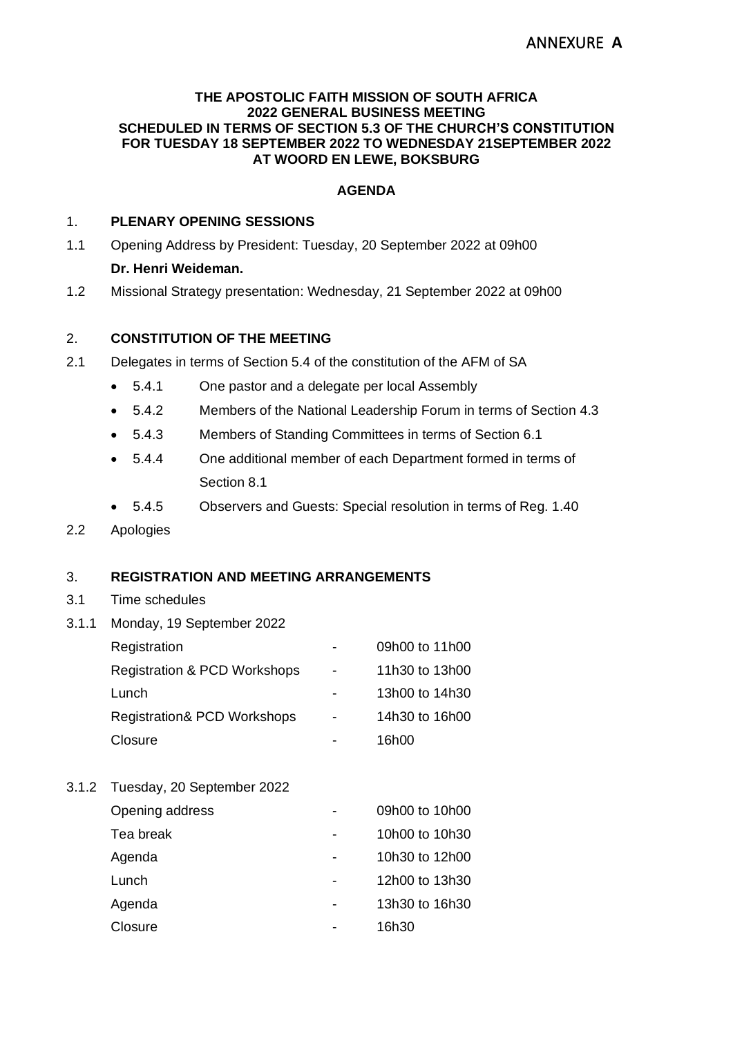# ANNEXURE **A**

#### **THE APOSTOLIC FAITH MISSION OF SOUTH AFRICA 2022 GENERAL BUSINESS MEETING SCHEDULED IN TERMS OF SECTION 5.3 OF THE CHURCH'S CONSTITUTION FOR TUESDAY 18 SEPTEMBER 2022 TO WEDNESDAY 21SEPTEMBER 2022 AT WOORD EN LEWE, BOKSBURG**

#### **AGENDA**

#### 1. **PLENARY OPENING SESSIONS**

- 1.1 Opening Address by President: Tuesday, 20 September 2022 at 09h00 **Dr. Henri Weideman.**
- 1.2 Missional Strategy presentation: Wednesday, 21 September 2022 at 09h00

#### 2. **CONSTITUTION OF THE MEETING**

- 2.1 Delegates in terms of Section 5.4 of the constitution of the AFM of SA
	- 5.4.1 One pastor and a delegate per local Assembly
	- 5.4.2 Members of the National Leadership Forum in terms of Section 4.3
	- 5.4.3 Members of Standing Committees in terms of Section 6.1
	- 5.4.4 One additional member of each Department formed in terms of Section 8.1
	- 5.4.5 Observers and Guests: Special resolution in terms of Reg. 1.40
- 2.2 Apologies

#### 3. **REGISTRATION AND MEETING ARRANGEMENTS**

- 3.1 Time schedules
- 3.1.1 Monday, 19 September 2022

| Registration                            |                | 09h00 to 11h00 |
|-----------------------------------------|----------------|----------------|
| <b>Registration &amp; PCD Workshops</b> | $\blacksquare$ | 11h30 to 13h00 |
| Lunch                                   | -              | 13h00 to 14h30 |
| <b>Registration&amp; PCD Workshops</b>  | $\blacksquare$ | 14h30 to 16h00 |
| Closure                                 |                | 16h00          |

3.1.2 Tuesday, 20 September 2022

| Opening address | 09h00 to 10h00 |
|-----------------|----------------|
| Tea break       | 10h00 to 10h30 |
| Agenda          | 10h30 to 12h00 |
| Lunch           | 12h00 to 13h30 |
| Agenda          | 13h30 to 16h30 |
| Closure         | 16h30          |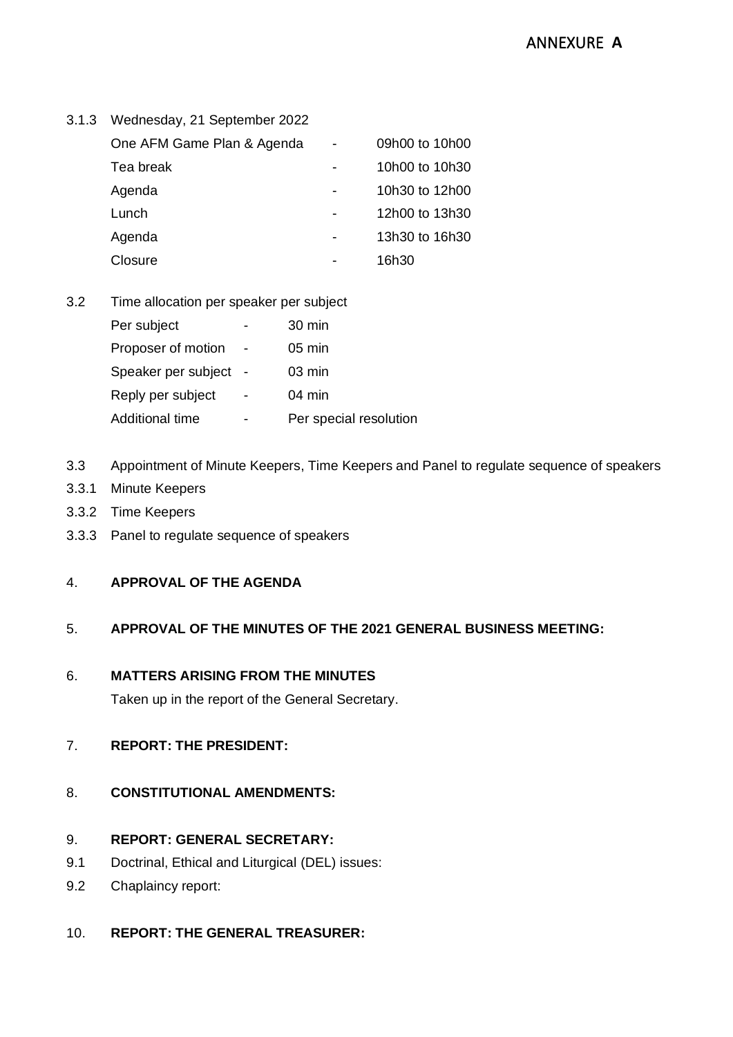| 3.1.3 Wednesday, 21 September 2022 |  |                |
|------------------------------------|--|----------------|
| One AFM Game Plan & Agenda         |  | 09h00 to 10h00 |
| Tea break                          |  | 10h00 to 10h30 |
| Agenda                             |  | 10h30 to 12h00 |
| Lunch                              |  | 12h00 to 13h30 |
| Agenda                             |  | 13h30 to 16h30 |
| Closure                            |  | 16h30          |
|                                    |  |                |

#### 3.2 Time allocation per speaker per subject

| Per subject         | 30 min                 |
|---------------------|------------------------|
| Proposer of motion  | $05 \text{ min}$       |
| Speaker per subject | $03 \text{ min}$       |
| Reply per subject   | $04 \text{ min}$       |
| Additional time     | Per special resolution |

## 3.3 Appointment of Minute Keepers, Time Keepers and Panel to regulate sequence of speakers

- 3.3.1 Minute Keepers
- 3.3.2 Time Keepers
- 3.3.3 Panel to regulate sequence of speakers

### 4. **APPROVAL OF THE AGENDA**

## 5. **APPROVAL OF THE MINUTES OF THE 2021 GENERAL BUSINESS MEETING:**

#### 6. **MATTERS ARISING FROM THE MINUTES**

Taken up in the report of the General Secretary.

### 7. **REPORT: THE PRESIDENT:**

### 8. **CONSTITUTIONAL AMENDMENTS:**

#### 9. **REPORT: GENERAL SECRETARY:**

- 9.1 Doctrinal, Ethical and Liturgical (DEL) issues:
- 9.2 Chaplaincy report:

## 10. **REPORT: THE GENERAL TREASURER:**